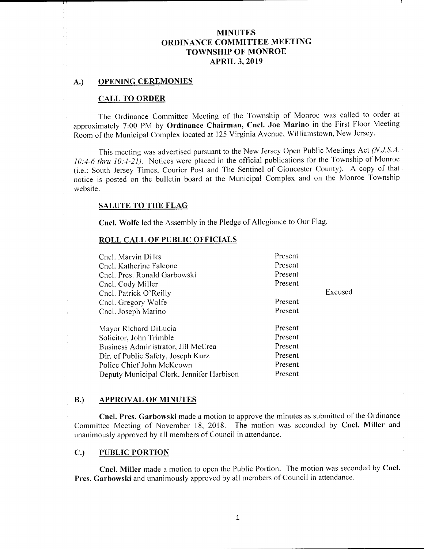#### A.) OPENING CEREMONIES

#### CALL TO ORDER

The Ordinance Committee Meeting of the Township of Monroe was called to order at approximately 7:00 PM by Ordinance Chairman, Cncl. Joe Marino in the First Floor Meeting Room of the Municipal Complex located at 125 Virginia Avenue, Williamstown, New Jersey.

This meeting was advertised pursuant to the New Jersey Open Public Meetings Act (N.J.S.A. 10:4-6 thru 10:4-21). Notices were placed in the official publications for the Township of Monroe (i.e.: South Jersey Times, Courier Post and The Sentinel of Gloucester County). A copy of that notice is posted on the bulletin board at the Municipal Complex and on the Monroe Township website.

## SALUTE TO THE FLAG

Cncl. Wolfe led the Assembly in the Pledge of Allegiance to Our Flag.

#### ROLL CALL OF PUBLIC OFFICIALS

| Cncl. Marvin Dilks                        | Present |         |
|-------------------------------------------|---------|---------|
| Cncl. Katherine Falcone                   | Present |         |
| Cncl. Pres. Ronald Garbowski              | Present |         |
| Cncl. Cody Miller                         | Present |         |
| Cncl. Patrick O'Reilly                    |         | Excused |
| Cncl. Gregory Wolfe                       | Present |         |
| Cncl. Joseph Marino                       | Present |         |
| Mayor Richard DiLucia                     | Present |         |
| Solicitor, John Trimble                   | Present |         |
| Business Administrator, Jill McCrea       | Present |         |
| Dir. of Public Safety, Joseph Kurz        | Present |         |
| Police Chief John McKeown                 | Present |         |
| Deputy Municipal Clerk, Jennifer Harbison | Present |         |
|                                           |         |         |

#### B.) APPROVAL OF MINUTES

Cncl. Pres. Garbowski made <sup>a</sup> motion to approve the minutes as submitted of the Ordinance Committee Meeting of November 18, 2018. The motion was seconded by Cncl. Miller and unanimously approved by all members of Council in attendance.

#### C.) PUBLIC PORTION

Cncl. Miller made <sup>a</sup> motion to open the Public Portion. The motion was seconded by Cncl. Pres. Garbowski and unanimously approved by all members of Council in attendance.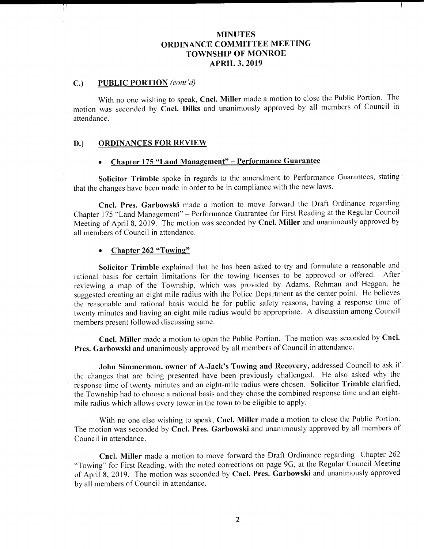## C.) PUBLIC PORTION (cont'd)

With no one wishing to speak, Cncl. Miller made a motion to close the Public Portion. The motion was seconded by Cncl. Dilks and unanimously approved by all members of Council in attendance.

## D.) ORDINANCES FOR REVIEW

# Chapter 175 "Land Management" - Performance Guarantee

Solicitor Trimble spoke in regards to the amendment to Performance Guarantees, stating that the changes have been made in order to be in compliance with the new laws.

Cncl. Pres. Garbowski made <sup>a</sup> motion to move forward the Draft Ordinance regarding Chapter 175 "Land Management" – Performance Guarantee for First Reading at the Regular Council Meeting of April 8, 2019. The motion was seconded by Cncl. Miller and unanimously approved by all members of Council in attendance.

#### • Chapter 262 "Towing"

Solicitor Trimble explained that he has been asked to try and formulate <sup>a</sup> reasonable and rational basis for certain limitations for the towing licenses to be approved or offered. After reviewing <sup>a</sup> map of the Township, which was provided by Adams, Rehman and Heggan, he suggested creating an eight mile radius with the Police Department as the center point. He believes the reasonable and rational basis would be for public safety reasons, having <sup>a</sup> response time of twenty minutes and having an eight mile radius would be appropriate. A discussion among Council members present followed discussing same.

Cncl. Miller made <sup>a</sup> motion to open the Public Portion. The motion was seconded by Cncl. Pres. Garbowski and unanimously approved by all members of Council in attendance.

John Simmermon, owner of A-Jack's Towing and Recovery, addressed Council to ask if the changes that are being presented have been previously challenged. He also asked why the response time of twenty minutes and an eight-mile radius were chosen. Solicitor Trimble clarified, the Township had to choose a rational basis and they chose the combined response time and an eightmile radius which allows every tower in the town to be eligible to apply.

With no one else wishing to speak, Cncl. Miller made a motion to close the Public Portion. The motion was seconded by Cncl. Pres. Garbowski and unanimously approved by all members of Council in attendance.

Cncl. Miller made <sup>a</sup> motion to move forward the Draft Ordinance regarding Chapter 262 Towing" for First Reading, with the noted corrections on page 9G, at the Regular Council Meeting of April 8, 2019. The motion was seconded by Cncl. Pres. Garbowski and unanimously approved by all members of Council in attendance.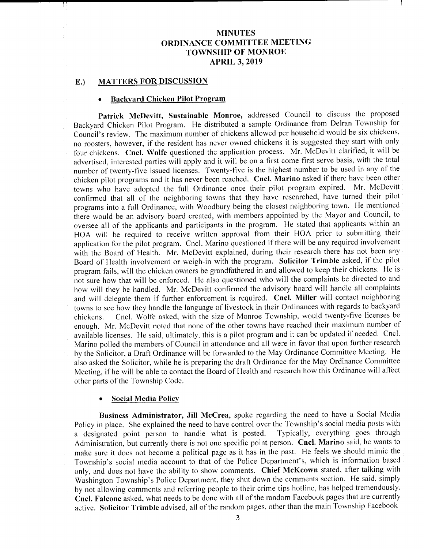$\mathbf{r}$ 

#### E.) MATTERS FOR DISCUSSION

#### Backyard Chicken Pilot Program

Patrick McDevitt, Sustainable Monroe, addressed Council to discuss the proposed Backyard Chicken Pilot Program. He distributed <sup>a</sup> sample Ordinance from Delran Township for Council's review. The maximum number of chickens allowed per household would be six chickens, no roosters, however, if the resident has never owned chickens it is suggested they start with only four chickens. Cncl. Wolfe questioned the application process. Mr. McDevitt clarified, it will be advertised, interested parties will apply and it will be on <sup>a</sup> first come first serve basis, with the total number of twenty-five issued licenses. Twenty-five is the highest number to be used in any of the chicken pilot programs and it has never been reached. Cncl. Marino asked if there have been other towns who have adopted the full Ordinance once their pilot program expired. Mr. McDevitt confirmed that all of the neighboring towns that they have researched, have turned their pilot programs into <sup>a</sup> full Ordinance, with Woodbury being the closest neighboring town. He mentioned there would be an advisory board created, with members appointed by the Mayor and Council, to oversee all of the applicants and participants in the program. He stated that applicants within an HOA will be required to receive written approval from their HOA prior to submitting their application for the pilot program. Cncl. Marino questioned if there will be any required involvement with the Board of Health. Mr. McDevitt explained, during their research there has not been any Board of Health involvement or weigh-in with the program. Solicitor Trimble asked, if the pilot program fails, will the chicken owners be grandfathered in and allowed to keep their chickens. He is not sure how that will be enforced. He also questioned who will the complaints be directed to and how will they be handled. Mr. McDevitt confirmed the advisory board will handle all complaints and will delegate them if further enforcement is required. Cncl. Miller will contact neighboring towns to see how they handle the language of livestock in their Ordinances with regards to backyard chickens. Cncl. Wolfe asked, with the size of Monroe Township, would twenty-five licenses be Cncl. Wolfe asked, with the size of Monroe Township, would twenty-five licenses be enough. Mr. McDevitt noted that none of the other towns have reached their maximum number of available licenses. He said, ultimately, this is <sup>a</sup> pilot program and it can be updated if needed. Cncl. Marino polled the members of Council in attendance and all were in favor that upon further research by the Solicitor, a Draft Ordinance will be forwarded to the May Ordinance Committee Meeting. He also asked the Solicitor, while he is preparing the draft Ordinance for the May Ordinance Committee Meeting, if he will be able to contact the Board of Health and research how this Ordinance will affect other parts of the Township Code.

#### Social Media Policy

Business Administrator, Jill McCrea, spoke regarding the need to have <sup>a</sup> Social Media Policy in place. She explained the need to have control over the Township's social media posts with a designated point person to handle what is posted. Typically, everything goes through a designated point person to handle what is posted. Administration, but currently there is not one specific point person. Cncl. Marino said, he wants to make sure it does not become <sup>a</sup> political page as it has in the past. He feels we should mimic the Township's social media account to that of the Police Department's, which is information based only, and does not have the ability to show comments. Chief McKeown stated, after talking with Washington Township's Police Department, they shut down the comments section. He said, simply by not allowing comments and referring people to their crime tips hotline, has helped tremendously. Cncl. Falcone asked, what needs to be done with all of the random Facebook pages that are currently active. Solicitor Trimble advised, all of the random pages, other than the main Township Facebook